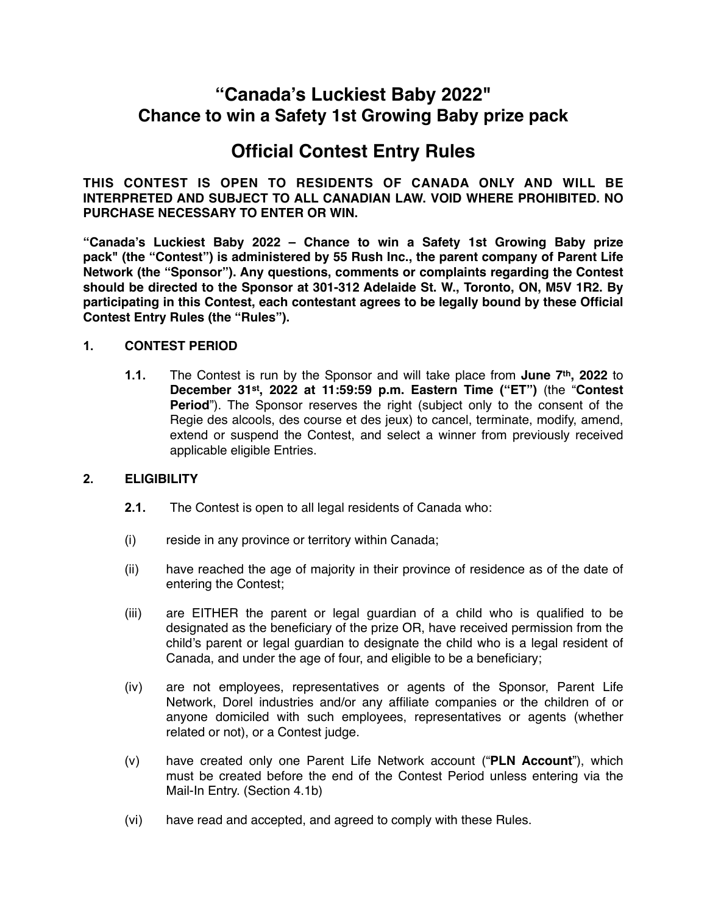# **"Canada's Luckiest Baby 2022" Chance to win a Safety 1st Growing Baby prize pack**

# **Official Contest Entry Rules**

**THIS CONTEST IS OPEN TO RESIDENTS OF CANADA ONLY AND WILL BE INTERPRETED AND SUBJECT TO ALL CANADIAN LAW. VOID WHERE PROHIBITED. NO PURCHASE NECESSARY TO ENTER OR WIN.**

**"Canada's Luckiest Baby 2022 – Chance to win a Safety 1st Growing Baby prize pack" (the "Contest") is administered by 55 Rush Inc., the parent company of Parent Life Network (the "Sponsor"). Any questions, comments or complaints regarding the Contest should be directed to the Sponsor at 301-312 Adelaide St. W., Toronto, ON, M5V 1R2. By participating in this Contest, each contestant agrees to be legally bound by these Official Contest Entry Rules (the "Rules").**

#### **1. CONTEST PERIOD**

**1.1.** The Contest is run by the Sponsor and will take place from **June 7th, 2022** to **December 31st, 2022 at 11:59:59 p.m. Eastern Time ("ET")** (the "**Contest Period**"). The Sponsor reserves the right (subject only to the consent of the Regie des alcools, des course et des jeux) to cancel, terminate, modify, amend, extend or suspend the Contest, and select a winner from previously received applicable eligible Entries.

#### **2. ELIGIBILITY**

- **2.1.** The Contest is open to all legal residents of Canada who:
- (i) reside in any province or territory within Canada;
- (ii) have reached the age of majority in their province of residence as of the date of entering the Contest;
- (iii) are EITHER the parent or legal guardian of a child who is qualified to be designated as the beneficiary of the prize OR, have received permission from the child's parent or legal guardian to designate the child who is a legal resident of Canada, and under the age of four, and eligible to be a beneficiary;
- (iv) are not employees, representatives or agents of the Sponsor, Parent Life Network, Dorel industries and/or any affiliate companies or the children of or anyone domiciled with such employees, representatives or agents (whether related or not), or a Contest judge.
- (v) have created only one Parent Life Network account ("**PLN Account**"), which must be created before the end of the Contest Period unless entering via the Mail-In Entry. (Section 4.1b)
- (vi) have read and accepted, and agreed to comply with these Rules.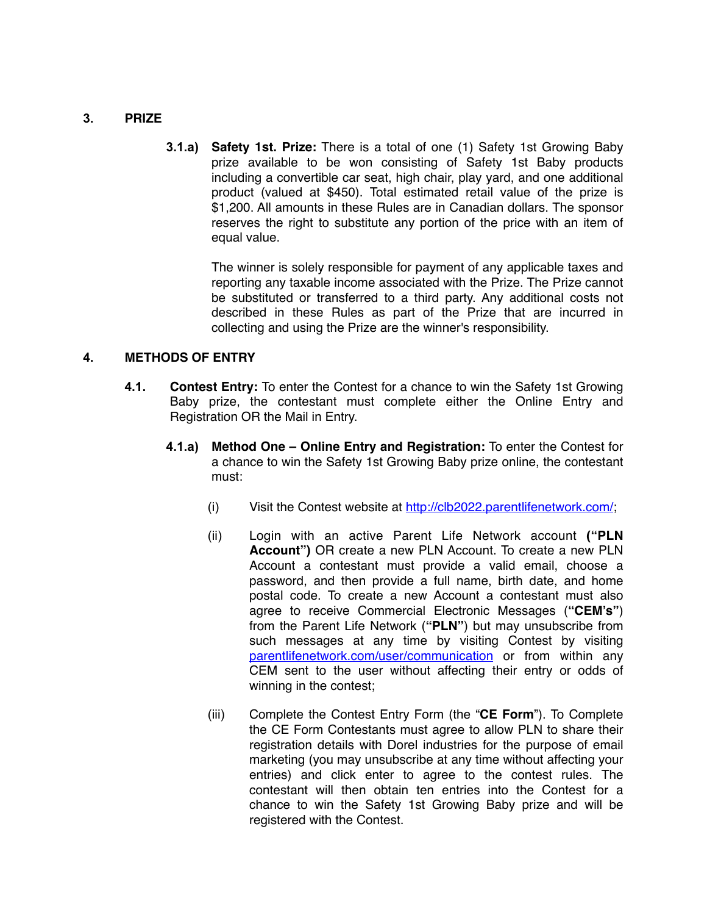### **3. PRIZE**

**3.1.a) Safety 1st. Prize:** There is a total of one (1) Safety 1st Growing Baby prize available to be won consisting of Safety 1st Baby products including a convertible car seat, high chair, play yard, and one additional product (valued at \$450). Total estimated retail value of the prize is \$1,200. All amounts in these Rules are in Canadian dollars. The sponsor reserves the right to substitute any portion of the price with an item of equal value.

> The winner is solely responsible for payment of any applicable taxes and reporting any taxable income associated with the Prize. The Prize cannot be substituted or transferred to a third party. Any additional costs not described in these Rules as part of the Prize that are incurred in collecting and using the Prize are the winner's responsibility.

#### **4. METHODS OF ENTRY**

- **4.1. Contest Entry:** To enter the Contest for a chance to win the Safety 1st Growing Baby prize, the contestant must complete either the Online Entry and Registration OR the Mail in Entry.
	- **4.1.a) Method One Online Entry and Registration:** To enter the Contest for a chance to win the Safety 1st Growing Baby prize online, the contestant must:
		- (i) Visit the Contest website at <http://clb2022.parentlifenetwork.com/>;
		- (ii) Login with an active Parent Life Network account **("PLN Account")** OR create a new PLN Account. To create a new PLN Account a contestant must provide a valid email, choose a password, and then provide a full name, birth date, and home postal code. To create a new Account a contestant must also agree to receive Commercial Electronic Messages (**"CEM's"**) from the Parent Life Network (**"PLN"**) but may unsubscribe from such messages at any time by visiting Contest by visiting [parentlifenetwork.com/user/communication](http://parentlifenetwork.com/user/communication) or from within any CEM sent to the user without affecting their entry or odds of winning in the contest;
		- (iii) Complete the Contest Entry Form (the "**CE Form**"). To Complete the CE Form Contestants must agree to allow PLN to share their registration details with Dorel industries for the purpose of email marketing (you may unsubscribe at any time without affecting your entries) and click enter to agree to the contest rules. The contestant will then obtain ten entries into the Contest for a chance to win the Safety 1st Growing Baby prize and will be registered with the Contest.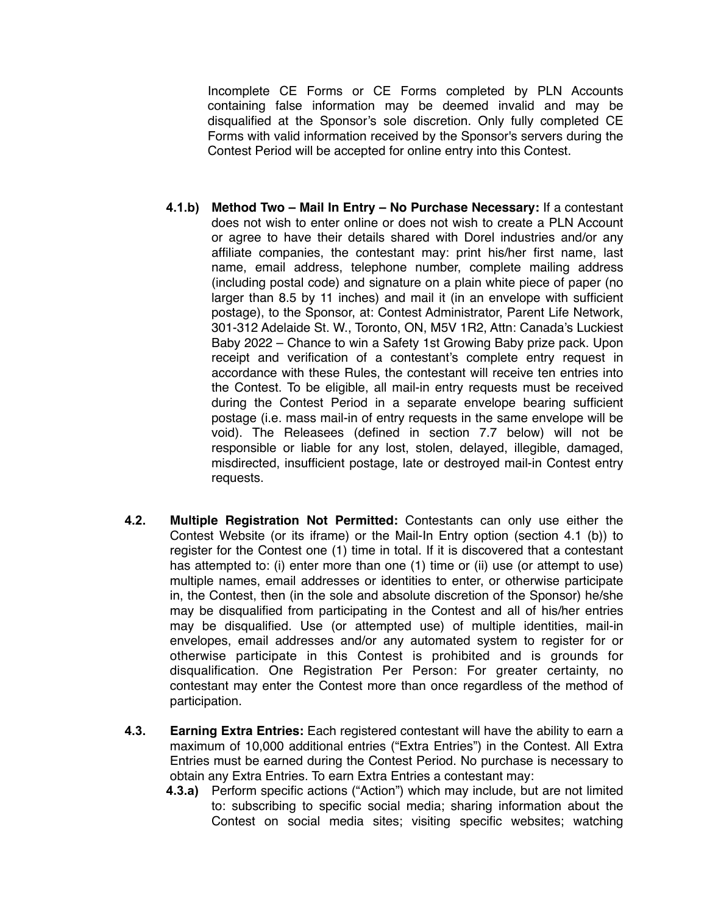Incomplete CE Forms or CE Forms completed by PLN Accounts containing false information may be deemed invalid and may be disqualified at the Sponsor's sole discretion. Only fully completed CE Forms with valid information received by the Sponsor's servers during the Contest Period will be accepted for online entry into this Contest.

- **4.1.b) Method Two Mail In Entry No Purchase Necessary:** If a contestant does not wish to enter online or does not wish to create a PLN Account or agree to have their details shared with Dorel industries and/or any affiliate companies, the contestant may: print his/her first name, last name, email address, telephone number, complete mailing address (including postal code) and signature on a plain white piece of paper (no larger than 8.5 by 11 inches) and mail it (in an envelope with sufficient postage), to the Sponsor, at: Contest Administrator, Parent Life Network, 301-312 Adelaide St. W., Toronto, ON, M5V 1R2, Attn: Canada's Luckiest Baby 2022 – Chance to win a Safety 1st Growing Baby prize pack. Upon receipt and verification of a contestant's complete entry request in accordance with these Rules, the contestant will receive ten entries into the Contest. To be eligible, all mail-in entry requests must be received during the Contest Period in a separate envelope bearing sufficient postage (i.e. mass mail-in of entry requests in the same envelope will be void). The Releasees (defined in section 7.7 below) will not be responsible or liable for any lost, stolen, delayed, illegible, damaged, misdirected, insufficient postage, late or destroyed mail-in Contest entry requests.
- **4.2. Multiple Registration Not Permitted:** Contestants can only use either the Contest Website (or its iframe) or the Mail-In Entry option (section 4.1 (b)) to register for the Contest one (1) time in total. If it is discovered that a contestant has attempted to: (i) enter more than one (1) time or (ii) use (or attempt to use) multiple names, email addresses or identities to enter, or otherwise participate in, the Contest, then (in the sole and absolute discretion of the Sponsor) he/she may be disqualified from participating in the Contest and all of his/her entries may be disqualified. Use (or attempted use) of multiple identities, mail-in envelopes, email addresses and/or any automated system to register for or otherwise participate in this Contest is prohibited and is grounds for disqualification. One Registration Per Person: For greater certainty, no contestant may enter the Contest more than once regardless of the method of participation.
- **4.3. Earning Extra Entries:** Each registered contestant will have the ability to earn a maximum of 10,000 additional entries ("Extra Entries") in the Contest. All Extra Entries must be earned during the Contest Period. No purchase is necessary to obtain any Extra Entries. To earn Extra Entries a contestant may:
	- **4.3.a)** Perform specific actions ("Action") which may include, but are not limited to: subscribing to specific social media; sharing information about the Contest on social media sites; visiting specific websites; watching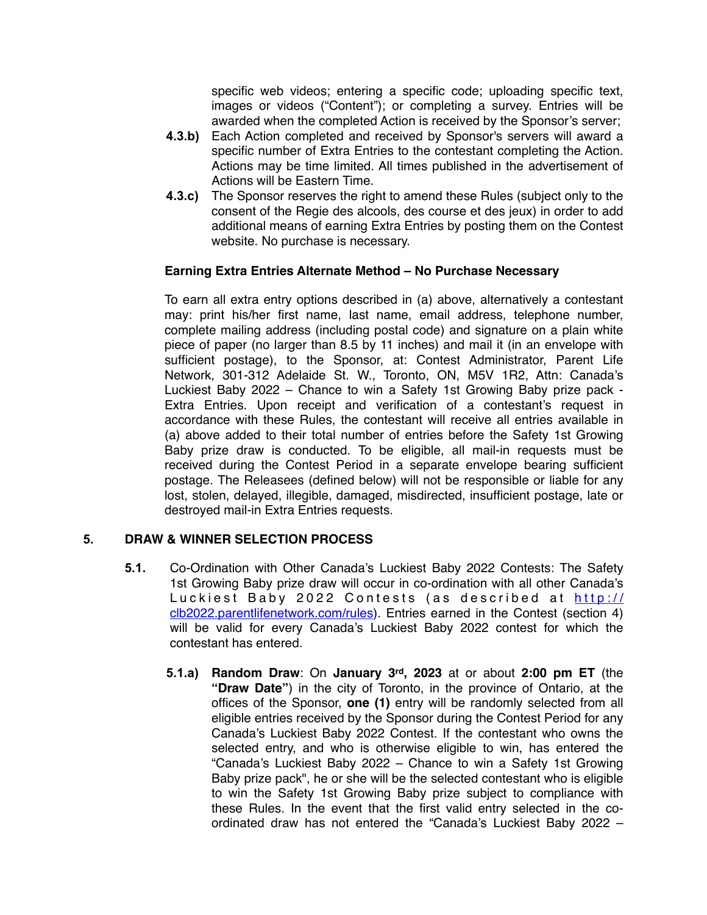specific web videos; entering a specific code; uploading specific text, images or videos ("Content"); or completing a survey. Entries will be awarded when the completed Action is received by the Sponsor's server;

- **4.3.b)** Each Action completed and received by Sponsor's servers will award a specific number of Extra Entries to the contestant completing the Action. Actions may be time limited. All times published in the advertisement of Actions will be Eastern Time.
- **4.3.c)** The Sponsor reserves the right to amend these Rules (subject only to the consent of the Regie des alcools, des course et des jeux) in order to add additional means of earning Extra Entries by posting them on the Contest website. No purchase is necessary.

#### **Earning Extra Entries Alternate Method – No Purchase Necessary**

To earn all extra entry options described in (a) above, alternatively a contestant may: print his/her first name, last name, email address, telephone number, complete mailing address (including postal code) and signature on a plain white piece of paper (no larger than 8.5 by 11 inches) and mail it (in an envelope with sufficient postage), to the Sponsor, at: Contest Administrator, Parent Life Network, 301-312 Adelaide St. W., Toronto, ON, M5V 1R2, Attn: Canada's Luckiest Baby 2022 – Chance to win a Safety 1st Growing Baby prize pack - Extra Entries. Upon receipt and verification of a contestant's request in accordance with these Rules, the contestant will receive all entries available in (a) above added to their total number of entries before the Safety 1st Growing Baby prize draw is conducted. To be eligible, all mail-in requests must be received during the Contest Period in a separate envelope bearing sufficient postage. The Releasees (defined below) will not be responsible or liable for any lost, stolen, delayed, illegible, damaged, misdirected, insufficient postage, late or destroyed mail-in Extra Entries requests.

### **5. DRAW & WINNER SELECTION PROCESS**

- **5.1.** Co-Ordination with Other Canada's Luckiest Baby 2022 Contests: The Safety 1st Growing Baby prize draw will occur in co-ordination with all other Canada's Luckiest Baby 2022 Contests (as described at [http://](http://clb2022.parentlifenetwork.com/rules) [clb2022.parentlifenetwork.com/rules](http://clb2022.parentlifenetwork.com/rules)). Entries earned in the Contest (section 4) will be valid for every Canada's Luckiest Baby 2022 contest for which the contestant has entered.
	- **5.1.a) Random Draw**: On **January 3rd, 2023** at or about **2:00 pm ET** (the **"Draw Date"**) in the city of Toronto, in the province of Ontario, at the offices of the Sponsor, **one (1)** entry will be randomly selected from all eligible entries received by the Sponsor during the Contest Period for any Canada's Luckiest Baby 2022 Contest. If the contestant who owns the selected entry, and who is otherwise eligible to win, has entered the "Canada's Luckiest Baby 2022 – Chance to win a Safety 1st Growing Baby prize pack", he or she will be the selected contestant who is eligible to win the Safety 1st Growing Baby prize subject to compliance with these Rules. In the event that the first valid entry selected in the coordinated draw has not entered the "Canada's Luckiest Baby 2022 –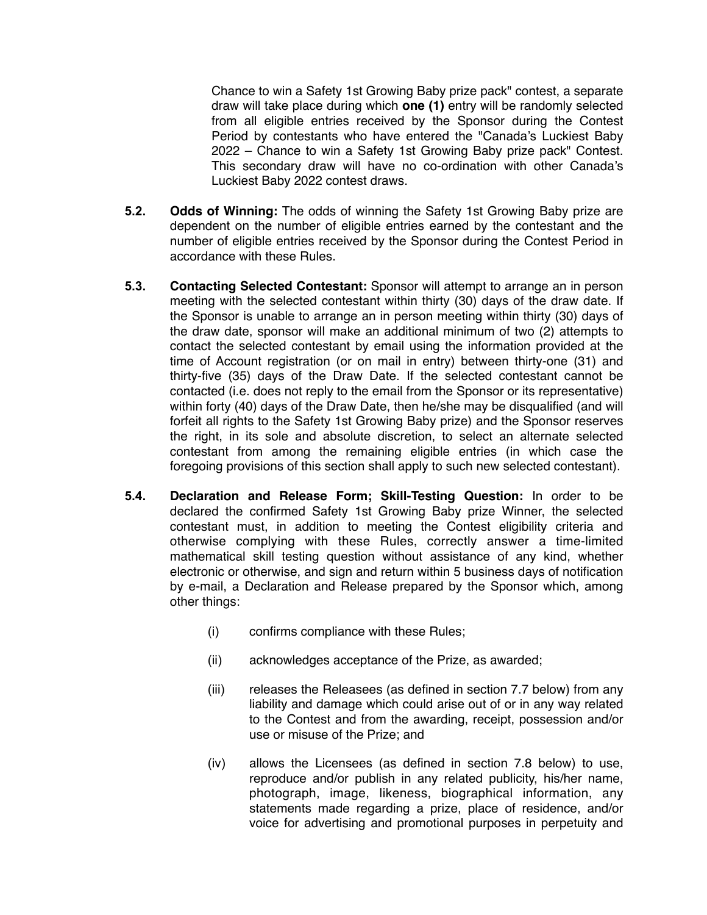Chance to win a Safety 1st Growing Baby prize pack" contest, a separate draw will take place during which **one (1)** entry will be randomly selected from all eligible entries received by the Sponsor during the Contest Period by contestants who have entered the "Canada's Luckiest Baby 2022 – Chance to win a Safety 1st Growing Baby prize pack" Contest. This secondary draw will have no co-ordination with other Canada's Luckiest Baby 2022 contest draws.

- **5.2. Odds of Winning:** The odds of winning the Safety 1st Growing Baby prize are dependent on the number of eligible entries earned by the contestant and the number of eligible entries received by the Sponsor during the Contest Period in accordance with these Rules.
- **5.3. Contacting Selected Contestant:** Sponsor will attempt to arrange an in person meeting with the selected contestant within thirty (30) days of the draw date. If the Sponsor is unable to arrange an in person meeting within thirty (30) days of the draw date, sponsor will make an additional minimum of two (2) attempts to contact the selected contestant by email using the information provided at the time of Account registration (or on mail in entry) between thirty-one (31) and thirty-five (35) days of the Draw Date. If the selected contestant cannot be contacted (i.e. does not reply to the email from the Sponsor or its representative) within forty (40) days of the Draw Date, then he/she may be disqualified (and will forfeit all rights to the Safety 1st Growing Baby prize) and the Sponsor reserves the right, in its sole and absolute discretion, to select an alternate selected contestant from among the remaining eligible entries (in which case the foregoing provisions of this section shall apply to such new selected contestant).
- **5.4. Declaration and Release Form; Skill-Testing Question:** In order to be declared the confirmed Safety 1st Growing Baby prize Winner, the selected contestant must, in addition to meeting the Contest eligibility criteria and otherwise complying with these Rules, correctly answer a time-limited mathematical skill testing question without assistance of any kind, whether electronic or otherwise, and sign and return within 5 business days of notification by e-mail, a Declaration and Release prepared by the Sponsor which, among other things:
	- (i) confirms compliance with these Rules;
	- (ii) acknowledges acceptance of the Prize, as awarded;
	- (iii) releases the Releasees (as defined in section 7.7 below) from any liability and damage which could arise out of or in any way related to the Contest and from the awarding, receipt, possession and/or use or misuse of the Prize; and
	- (iv) allows the Licensees (as defined in section 7.8 below) to use, reproduce and/or publish in any related publicity, his/her name, photograph, image, likeness, biographical information, any statements made regarding a prize, place of residence, and/or voice for advertising and promotional purposes in perpetuity and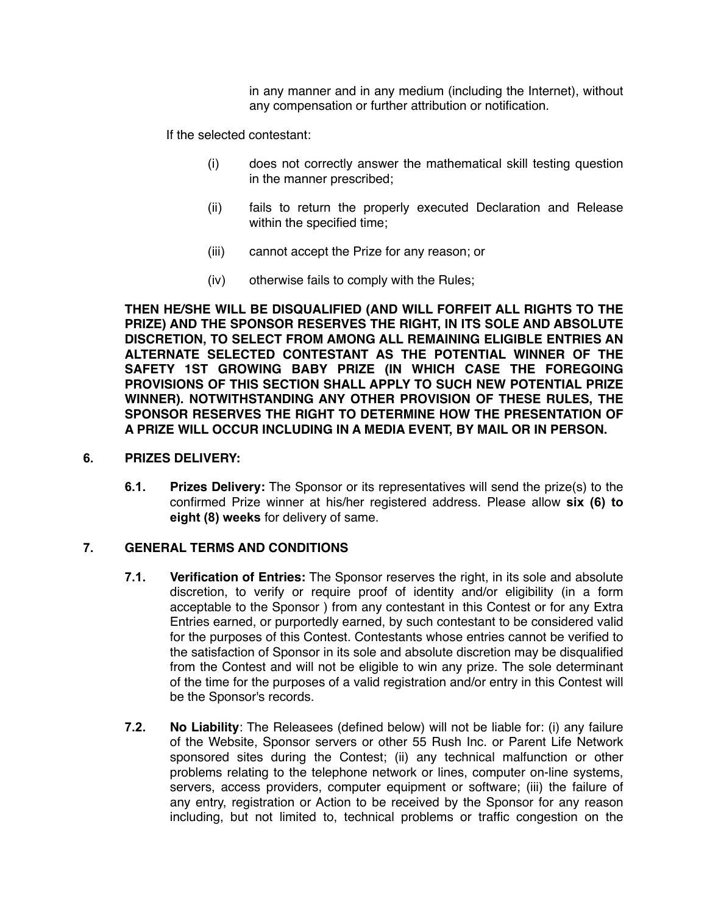in any manner and in any medium (including the Internet), without any compensation or further attribution or notification.

If the selected contestant:

- (i) does not correctly answer the mathematical skill testing question in the manner prescribed;
- (ii) fails to return the properly executed Declaration and Release within the specified time;
- (iii) cannot accept the Prize for any reason; or
- (iv) otherwise fails to comply with the Rules;

**THEN HE/SHE WILL BE DISQUALIFIED (AND WILL FORFEIT ALL RIGHTS TO THE PRIZE) AND THE SPONSOR RESERVES THE RIGHT, IN ITS SOLE AND ABSOLUTE DISCRETION, TO SELECT FROM AMONG ALL REMAINING ELIGIBLE ENTRIES AN ALTERNATE SELECTED CONTESTANT AS THE POTENTIAL WINNER OF THE SAFETY 1ST GROWING BABY PRIZE (IN WHICH CASE THE FOREGOING PROVISIONS OF THIS SECTION SHALL APPLY TO SUCH NEW POTENTIAL PRIZE WINNER). NOTWITHSTANDING ANY OTHER PROVISION OF THESE RULES, THE SPONSOR RESERVES THE RIGHT TO DETERMINE HOW THE PRESENTATION OF A PRIZE WILL OCCUR INCLUDING IN A MEDIA EVENT, BY MAIL OR IN PERSON.**

#### **6. PRIZES DELIVERY:**

**6.1. Prizes Delivery:** The Sponsor or its representatives will send the prize(s) to the confirmed Prize winner at his/her registered address. Please allow **six (6) to eight (8) weeks** for delivery of same.

#### **7. GENERAL TERMS AND CONDITIONS**

- **7.1. Verification of Entries:** The Sponsor reserves the right, in its sole and absolute discretion, to verify or require proof of identity and/or eligibility (in a form acceptable to the Sponsor ) from any contestant in this Contest or for any Extra Entries earned, or purportedly earned, by such contestant to be considered valid for the purposes of this Contest. Contestants whose entries cannot be verified to the satisfaction of Sponsor in its sole and absolute discretion may be disqualified from the Contest and will not be eligible to win any prize. The sole determinant of the time for the purposes of a valid registration and/or entry in this Contest will be the Sponsor's records.
- **7.2. No Liability**: The Releasees (defined below) will not be liable for: (i) any failure of the Website, Sponsor servers or other 55 Rush Inc. or Parent Life Network sponsored sites during the Contest; (ii) any technical malfunction or other problems relating to the telephone network or lines, computer on-line systems, servers, access providers, computer equipment or software; (iii) the failure of any entry, registration or Action to be received by the Sponsor for any reason including, but not limited to, technical problems or traffic congestion on the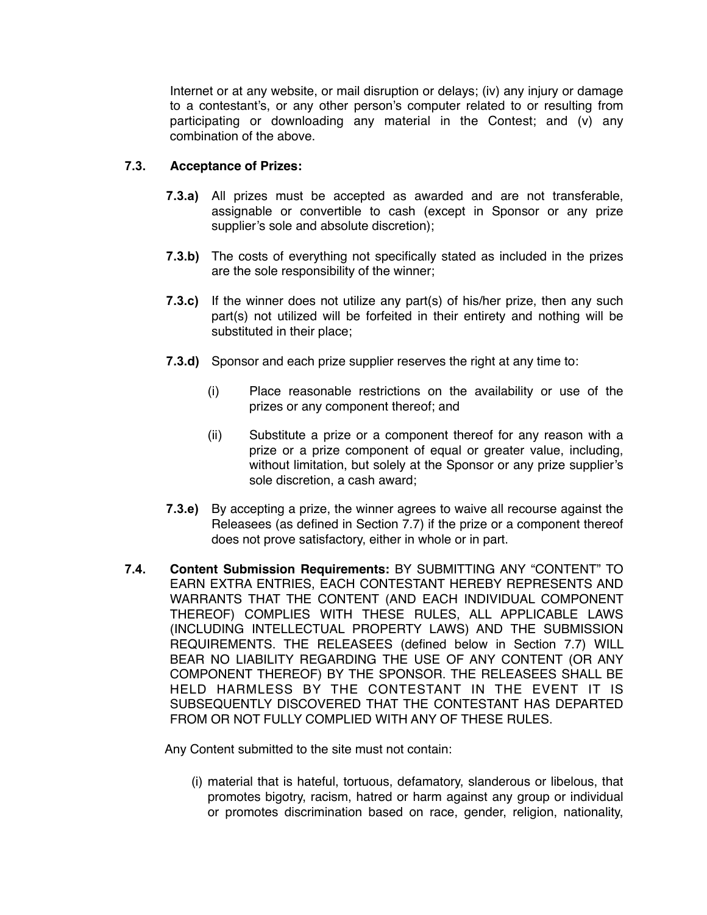Internet or at any website, or mail disruption or delays; (iv) any injury or damage to a contestant's, or any other person's computer related to or resulting from participating or downloading any material in the Contest; and (v) any combination of the above.

#### **7.3. Acceptance of Prizes:**

- **7.3.a)** All prizes must be accepted as awarded and are not transferable, assignable or convertible to cash (except in Sponsor or any prize supplier's sole and absolute discretion);
- **7.3.b)** The costs of everything not specifically stated as included in the prizes are the sole responsibility of the winner;
- **7.3.c)** If the winner does not utilize any part(s) of his/her prize, then any such part(s) not utilized will be forfeited in their entirety and nothing will be substituted in their place;
- **7.3.d)** Sponsor and each prize supplier reserves the right at any time to:
	- (i) Place reasonable restrictions on the availability or use of the prizes or any component thereof; and
	- (ii) Substitute a prize or a component thereof for any reason with a prize or a prize component of equal or greater value, including, without limitation, but solely at the Sponsor or any prize supplier's sole discretion, a cash award;
- **7.3.e)** By accepting a prize, the winner agrees to waive all recourse against the Releasees (as defined in Section 7.7) if the prize or a component thereof does not prove satisfactory, either in whole or in part.
- **7.4. Content Submission Requirements:** BY SUBMITTING ANY "CONTENT" TO EARN EXTRA ENTRIES, EACH CONTESTANT HEREBY REPRESENTS AND WARRANTS THAT THE CONTENT (AND EACH INDIVIDUAL COMPONENT THEREOF) COMPLIES WITH THESE RULES, ALL APPLICABLE LAWS (INCLUDING INTELLECTUAL PROPERTY LAWS) AND THE SUBMISSION REQUIREMENTS. THE RELEASEES (defined below in Section 7.7) WILL BEAR NO LIABILITY REGARDING THE USE OF ANY CONTENT (OR ANY COMPONENT THEREOF) BY THE SPONSOR. THE RELEASEES SHALL BE HELD HARMLESS BY THE CONTESTANT IN THE EVENT IT IS SUBSEQUENTLY DISCOVERED THAT THE CONTESTANT HAS DEPARTED FROM OR NOT FULLY COMPLIED WITH ANY OF THESE RULES.

Any Content submitted to the site must not contain:

(i) material that is hateful, tortuous, defamatory, slanderous or libelous, that promotes bigotry, racism, hatred or harm against any group or individual or promotes discrimination based on race, gender, religion, nationality,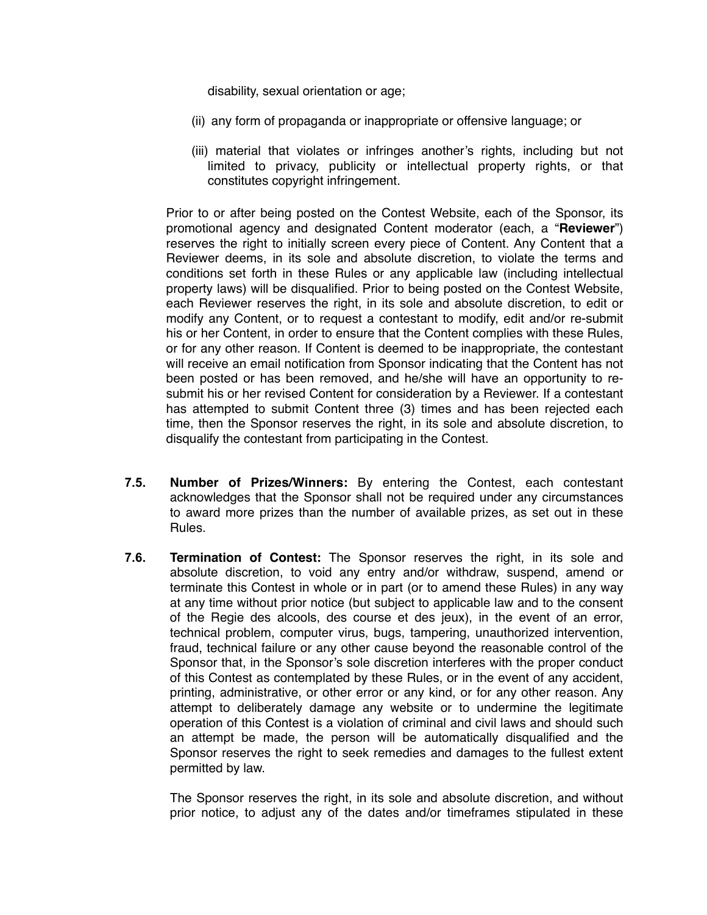disability, sexual orientation or age;

- (ii) any form of propaganda or inappropriate or offensive language; or
- (iii) material that violates or infringes another's rights, including but not limited to privacy, publicity or intellectual property rights, or that constitutes copyright infringement.

Prior to or after being posted on the Contest Website, each of the Sponsor, its promotional agency and designated Content moderator (each, a "**Reviewer**") reserves the right to initially screen every piece of Content. Any Content that a Reviewer deems, in its sole and absolute discretion, to violate the terms and conditions set forth in these Rules or any applicable law (including intellectual property laws) will be disqualified. Prior to being posted on the Contest Website, each Reviewer reserves the right, in its sole and absolute discretion, to edit or modify any Content, or to request a contestant to modify, edit and/or re-submit his or her Content, in order to ensure that the Content complies with these Rules, or for any other reason. If Content is deemed to be inappropriate, the contestant will receive an email notification from Sponsor indicating that the Content has not been posted or has been removed, and he/she will have an opportunity to resubmit his or her revised Content for consideration by a Reviewer. If a contestant has attempted to submit Content three (3) times and has been rejected each time, then the Sponsor reserves the right, in its sole and absolute discretion, to disqualify the contestant from participating in the Contest.

- **7.5. Number of Prizes/Winners:** By entering the Contest, each contestant acknowledges that the Sponsor shall not be required under any circumstances to award more prizes than the number of available prizes, as set out in these Rules.
- **7.6. Termination of Contest:** The Sponsor reserves the right, in its sole and absolute discretion, to void any entry and/or withdraw, suspend, amend or terminate this Contest in whole or in part (or to amend these Rules) in any way at any time without prior notice (but subject to applicable law and to the consent of the Regie des alcools, des course et des jeux), in the event of an error, technical problem, computer virus, bugs, tampering, unauthorized intervention, fraud, technical failure or any other cause beyond the reasonable control of the Sponsor that, in the Sponsor's sole discretion interferes with the proper conduct of this Contest as contemplated by these Rules, or in the event of any accident, printing, administrative, or other error or any kind, or for any other reason. Any attempt to deliberately damage any website or to undermine the legitimate operation of this Contest is a violation of criminal and civil laws and should such an attempt be made, the person will be automatically disqualified and the Sponsor reserves the right to seek remedies and damages to the fullest extent permitted by law.

The Sponsor reserves the right, in its sole and absolute discretion, and without prior notice, to adjust any of the dates and/or timeframes stipulated in these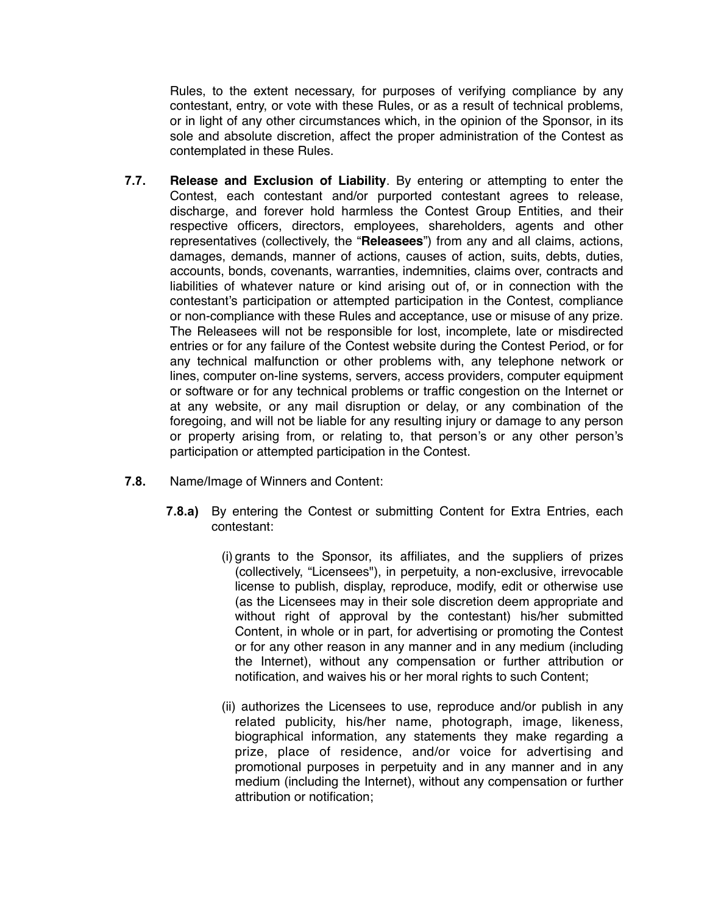Rules, to the extent necessary, for purposes of verifying compliance by any contestant, entry, or vote with these Rules, or as a result of technical problems, or in light of any other circumstances which, in the opinion of the Sponsor, in its sole and absolute discretion, affect the proper administration of the Contest as contemplated in these Rules.

- **7.7. Release and Exclusion of Liability**. By entering or attempting to enter the Contest, each contestant and/or purported contestant agrees to release, discharge, and forever hold harmless the Contest Group Entities, and their respective officers, directors, employees, shareholders, agents and other representatives (collectively, the "**Releasees**") from any and all claims, actions, damages, demands, manner of actions, causes of action, suits, debts, duties, accounts, bonds, covenants, warranties, indemnities, claims over, contracts and liabilities of whatever nature or kind arising out of, or in connection with the contestant's participation or attempted participation in the Contest, compliance or non-compliance with these Rules and acceptance, use or misuse of any prize. The Releasees will not be responsible for lost, incomplete, late or misdirected entries or for any failure of the Contest website during the Contest Period, or for any technical malfunction or other problems with, any telephone network or lines, computer on-line systems, servers, access providers, computer equipment or software or for any technical problems or traffic congestion on the Internet or at any website, or any mail disruption or delay, or any combination of the foregoing, and will not be liable for any resulting injury or damage to any person or property arising from, or relating to, that person's or any other person's participation or attempted participation in the Contest.
- **7.8.** Name/Image of Winners and Content:
	- **7.8.a)** By entering the Contest or submitting Content for Extra Entries, each contestant:
		- (i) grants to the Sponsor, its affiliates, and the suppliers of prizes (collectively, "Licensees"), in perpetuity, a non-exclusive, irrevocable license to publish, display, reproduce, modify, edit or otherwise use (as the Licensees may in their sole discretion deem appropriate and without right of approval by the contestant) his/her submitted Content, in whole or in part, for advertising or promoting the Contest or for any other reason in any manner and in any medium (including the Internet), without any compensation or further attribution or notification, and waives his or her moral rights to such Content;
		- (ii) authorizes the Licensees to use, reproduce and/or publish in any related publicity, his/her name, photograph, image, likeness, biographical information, any statements they make regarding a prize, place of residence, and/or voice for advertising and promotional purposes in perpetuity and in any manner and in any medium (including the Internet), without any compensation or further attribution or notification;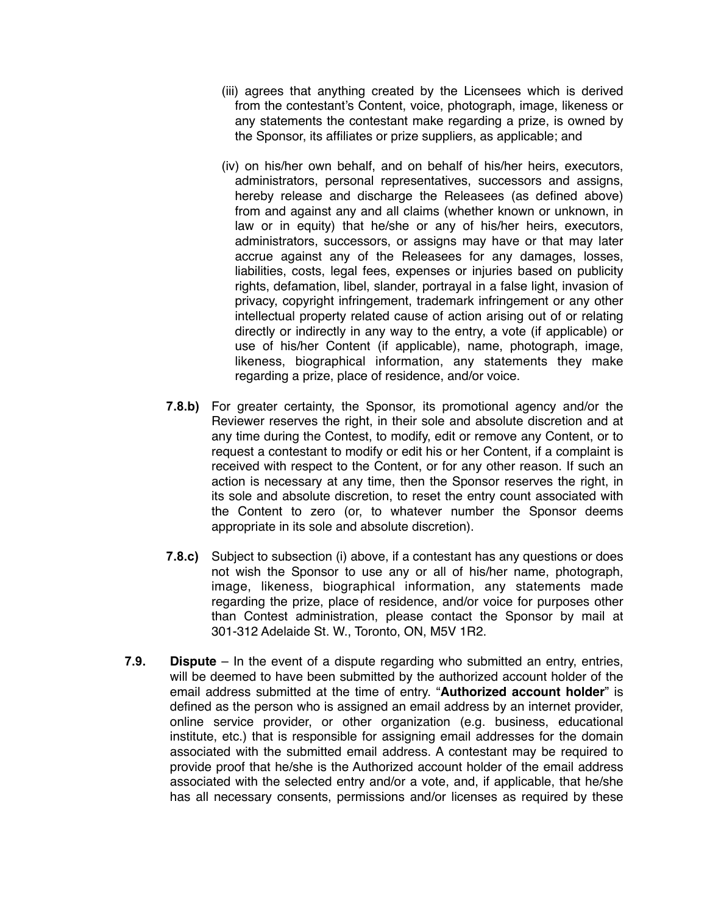- (iii) agrees that anything created by the Licensees which is derived from the contestant's Content, voice, photograph, image, likeness or any statements the contestant make regarding a prize, is owned by the Sponsor, its affiliates or prize suppliers, as applicable; and
- (iv) on his/her own behalf, and on behalf of his/her heirs, executors, administrators, personal representatives, successors and assigns, hereby release and discharge the Releasees (as defined above) from and against any and all claims (whether known or unknown, in law or in equity) that he/she or any of his/her heirs, executors, administrators, successors, or assigns may have or that may later accrue against any of the Releasees for any damages, losses, liabilities, costs, legal fees, expenses or injuries based on publicity rights, defamation, libel, slander, portrayal in a false light, invasion of privacy, copyright infringement, trademark infringement or any other intellectual property related cause of action arising out of or relating directly or indirectly in any way to the entry, a vote (if applicable) or use of his/her Content (if applicable), name, photograph, image, likeness, biographical information, any statements they make regarding a prize, place of residence, and/or voice.
- **7.8.b)** For greater certainty, the Sponsor, its promotional agency and/or the Reviewer reserves the right, in their sole and absolute discretion and at any time during the Contest, to modify, edit or remove any Content, or to request a contestant to modify or edit his or her Content, if a complaint is received with respect to the Content, or for any other reason. If such an action is necessary at any time, then the Sponsor reserves the right, in its sole and absolute discretion, to reset the entry count associated with the Content to zero (or, to whatever number the Sponsor deems appropriate in its sole and absolute discretion).
- **7.8.c)** Subject to subsection (i) above, if a contestant has any questions or does not wish the Sponsor to use any or all of his/her name, photograph, image, likeness, biographical information, any statements made regarding the prize, place of residence, and/or voice for purposes other than Contest administration, please contact the Sponsor by mail at 301-312 Adelaide St. W., Toronto, ON, M5V 1R2.
- **7.9. Dispute**  In the event of a dispute regarding who submitted an entry, entries, will be deemed to have been submitted by the authorized account holder of the email address submitted at the time of entry. "**Authorized account holder**" is defined as the person who is assigned an email address by an internet provider, online service provider, or other organization (e.g. business, educational institute, etc.) that is responsible for assigning email addresses for the domain associated with the submitted email address. A contestant may be required to provide proof that he/she is the Authorized account holder of the email address associated with the selected entry and/or a vote, and, if applicable, that he/she has all necessary consents, permissions and/or licenses as required by these